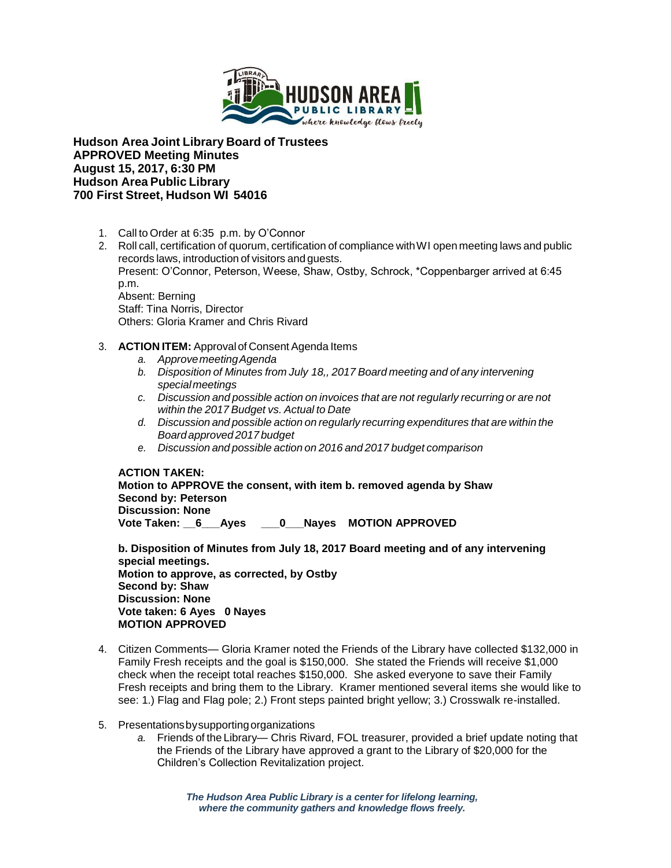

**Hudson Area Joint Library Board of Trustees APPROVED Meeting Minutes August 15, 2017, 6:30 PM Hudson Area Public Library 700 First Street, Hudson WI 54016**

- 1. Call to Order at 6:35 p.m. by O'Connor
- 2. Roll call, certification of quorum, certification of compliance withWI open meeting laws and public records laws, introduction of visitors and guests. Present: O'Connor, Peterson, Weese, Shaw, Ostby, Schrock, \*Coppenbarger arrived at 6:45 p.m. Absent: Berning Staff: Tina Norris, Director Others: Gloria Kramer and Chris Rivard
- 3. **ACTION ITEM:** Approval of Consent Agenda Items
	- *a. ApprovemeetingAgenda*
	- *b. Disposition of Minutes from July 18,, 2017 Board meeting and of any intervening special meetings*
	- *c. Discussion and possible action on invoices that are not regularly recurring or are not within the 2017 Budget vs. Actual to Date*
	- *d. Discussion and possible action on regularly recurring expenditures that are within the Board approved 2017 budget*
	- *e. Discussion and possible action on 2016 and 2017 budget comparison*

**ACTION TAKEN: Motion to APPROVE the consent, with item b. removed agenda by Shaw Second by: Peterson Discussion: None** Vote Taken: 6 Ayes 0 Nayes MOTION APPROVED

**b. Disposition of Minutes from July 18, 2017 Board meeting and of any intervening special meetings. Motion to approve, as corrected, by Ostby Second by: Shaw Discussion: None Vote taken: 6 Ayes 0 Nayes MOTION APPROVED**

- 4. Citizen Comments— Gloria Kramer noted the Friends of the Library have collected \$132,000 in Family Fresh receipts and the goal is \$150,000. She stated the Friends will receive \$1,000 check when the receipt total reaches \$150,000. She asked everyone to save their Family Fresh receipts and bring them to the Library. Kramer mentioned several items she would like to see: 1.) Flag and Flag pole; 2.) Front steps painted bright yellow; 3.) Crosswalk re-installed.
- 5. Presentationsbysupportingorganizations
	- *a.* Friends of the Library— Chris Rivard, FOL treasurer, provided a brief update noting that the Friends of the Library have approved a grant to the Library of \$20,000 for the Children's Collection Revitalization project.

*The Hudson Area Public Library is a center for lifelong learning, where the community gathers and knowledge flows freely.*